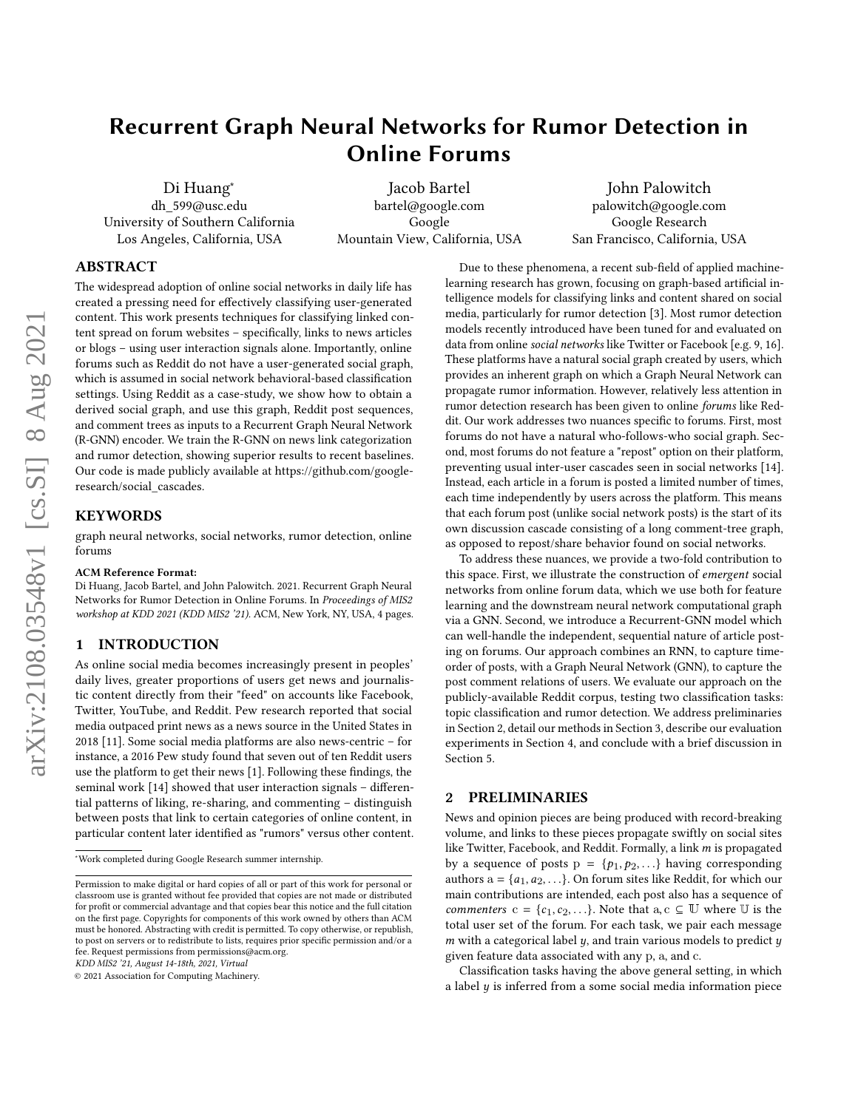# Recurrent Graph Neural Networks for Rumor Detection in Online Forums

Di Huang<sup>∗</sup> dh\_599@usc.edu University of Southern California Los Angeles, California, USA

Jacob Bartel bartel@google.com Google Mountain View, California, USA

John Palowitch palowitch@google.com Google Research San Francisco, California, USA

# ABSTRACT

The widespread adoption of online social networks in daily life has created a pressing need for effectively classifying user-generated content. This work presents techniques for classifying linked content spread on forum websites – specifically, links to news articles or blogs – using user interaction signals alone. Importantly, online forums such as Reddit do not have a user-generated social graph, which is assumed in social network behavioral-based classification settings. Using Reddit as a case-study, we show how to obtain a derived social graph, and use this graph, Reddit post sequences, and comment trees as inputs to a Recurrent Graph Neural Network (R-GNN) encoder. We train the R-GNN on news link categorization and rumor detection, showing superior results to recent baselines. Our code is made publicly available at [https://github.com/google](https://github.com/google-research/social_cascades)[research/social\\_cascades.](https://github.com/google-research/social_cascades)

# **KEYWORDS**

graph neural networks, social networks, rumor detection, online forums

#### ACM Reference Format:

Di Huang, Jacob Bartel, and John Palowitch. 2021. Recurrent Graph Neural Networks for Rumor Detection in Online Forums. In Proceedings of MIS2 workshop at KDD 2021 (KDD MIS2 '21). ACM, New York, NY, USA, [4](#page-3-0) pages.

# 1 INTRODUCTION

As online social media becomes increasingly present in peoples' daily lives, greater proportions of users get news and journalistic content directly from their "feed" on accounts like Facebook, Twitter, YouTube, and Reddit. Pew research reported that social media outpaced print news as a news source in the United States in 2018 [\[11\]](#page-3-1). Some social media platforms are also news-centric – for instance, a 2016 Pew study found that seven out of ten Reddit users use the platform to get their news [\[1\]](#page-3-2). Following these findings, the seminal work [\[14\]](#page-3-3) showed that user interaction signals – differential patterns of liking, re-sharing, and commenting – distinguish between posts that link to certain categories of online content, in particular content later identified as "rumors" versus other content.

KDD MIS2 '21, August 14-18th, 2021, Virtual

Due to these phenomena, a recent sub-field of applied machinelearning research has grown, focusing on graph-based artificial intelligence models for classifying links and content shared on social media, particularly for rumor detection [\[3\]](#page-3-4). Most rumor detection models recently introduced have been tuned for and evaluated on data from online social networks like Twitter or Facebook [e.g. [9,](#page-3-5) [16\]](#page-3-6). These platforms have a natural social graph created by users, which provides an inherent graph on which a Graph Neural Network can propagate rumor information. However, relatively less attention in rumor detection research has been given to online forums like Reddit. Our work addresses two nuances specific to forums. First, most forums do not have a natural who-follows-who social graph. Second, most forums do not feature a "repost" option on their platform, preventing usual inter-user cascades seen in social networks [\[14\]](#page-3-3). Instead, each article in a forum is posted a limited number of times, each time independently by users across the platform. This means that each forum post (unlike social network posts) is the start of its own discussion cascade consisting of a long comment-tree graph, as opposed to repost/share behavior found on social networks.

To address these nuances, we provide a two-fold contribution to this space. First, we illustrate the construction of emergent social networks from online forum data, which we use both for feature learning and the downstream neural network computational graph via a GNN. Second, we introduce a Recurrent-GNN model which can well-handle the independent, sequential nature of article posting on forums. Our approach combines an RNN, to capture timeorder of posts, with a Graph Neural Network (GNN), to capture the post comment relations of users. We evaluate our approach on the publicly-available Reddit corpus, testing two classification tasks: topic classification and rumor detection. We address preliminaries in Section 2, detail our methods in Section [3,](#page-1-0) describe our evaluation experiments in Section [4,](#page-2-0) and conclude with a brief discussion in Section 5.

# 2 PRELIMINARIES

News and opinion pieces are being produced with record-breaking volume, and links to these pieces propagate swiftly on social sites like Twitter, Facebook, and Reddit. Formally, a link  $m$  is propagated by a sequence of posts  $p = \{p_1, p_2, ...\}$  having corresponding authors  $a = \{a_1, a_2, \ldots\}$ . On forum sites like Reddit, for which our main contributions are intended, each post also has a sequence of commenters  $c = \{c_1, c_2, ...\}$ . Note that  $a, c \subseteq \mathbb{U}$  where  $\mathbb{U}$  is the total user set of the forum. For each task, we pair each message  $m$  with a categorical label  $y$ , and train various models to predict  $y$ given feature data associated with any p, a, and c.

Classification tasks having the above general setting, in which a label  $y$  is inferred from a some social media information piece

<sup>∗</sup>Work completed during Google Research summer internship.

Permission to make digital or hard copies of all or part of this work for personal or classroom use is granted without fee provided that copies are not made or distributed for profit or commercial advantage and that copies bear this notice and the full citation on the first page. Copyrights for components of this work owned by others than ACM must be honored. Abstracting with credit is permitted. To copy otherwise, or republish, to post on servers or to redistribute to lists, requires prior specific permission and/or a fee. Request permissions from permissions@acm.org.

<sup>©</sup> 2021 Association for Computing Machinery.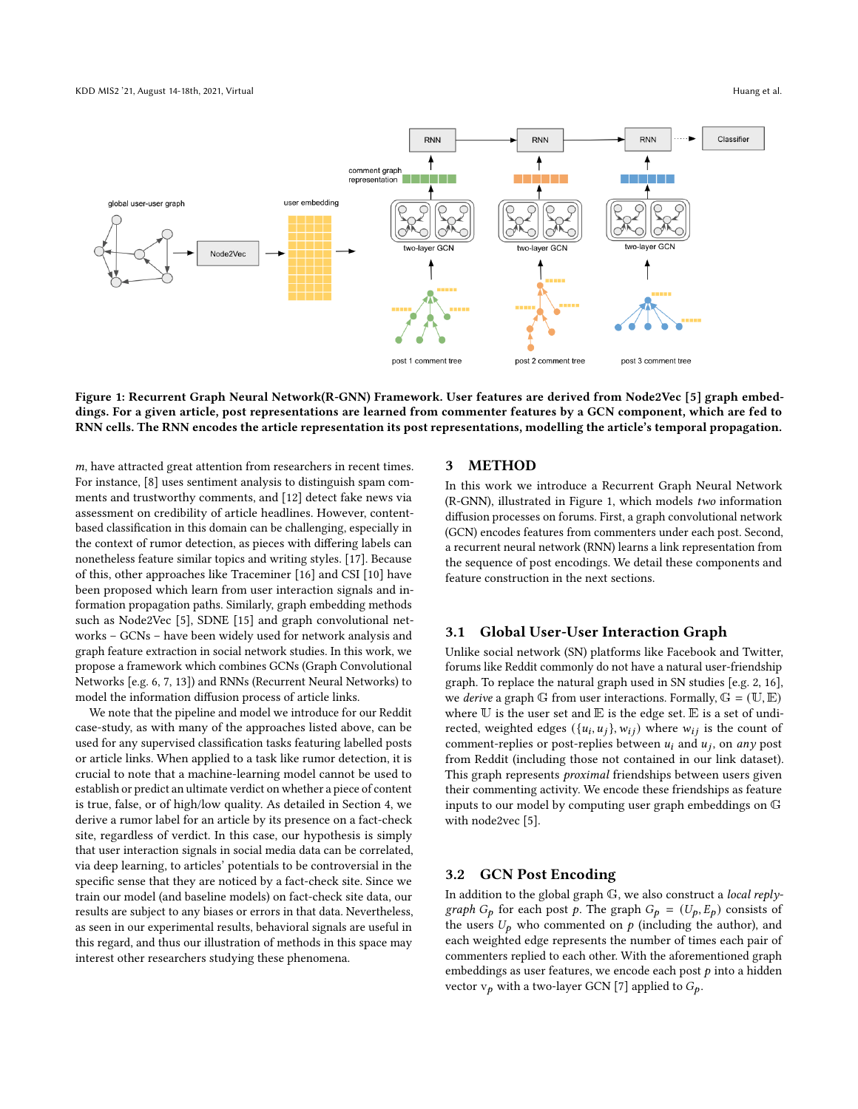<span id="page-1-1"></span>

Figure 1: Recurrent Graph Neural Network(R-GNN) Framework. User features are derived from Node2Vec [\[5\]](#page-3-7) graph embeddings. For a given article, post representations are learned from commenter features by a GCN component, which are fed to RNN cells. The RNN encodes the article representation its post representations, modelling the article's temporal propagation.

 $m$ , have attracted great attention from researchers in recent times. For instance, [\[8\]](#page-3-8) uses sentiment analysis to distinguish spam comments and trustworthy comments, and [\[12\]](#page-3-9) detect fake news via assessment on credibility of article headlines. However, contentbased classification in this domain can be challenging, especially in the context of rumor detection, as pieces with differing labels can nonetheless feature similar topics and writing styles. [\[17\]](#page-3-10). Because of this, other approaches like Traceminer [\[16\]](#page-3-6) and CSI [\[10\]](#page-3-11) have been proposed which learn from user interaction signals and information propagation paths. Similarly, graph embedding methods such as Node2Vec [\[5\]](#page-3-7), SDNE [\[15\]](#page-3-12) and graph convolutional networks – GCNs – have been widely used for network analysis and graph feature extraction in social network studies. In this work, we propose a framework which combines GCNs (Graph Convolutional Networks [e.g. [6,](#page-3-13) [7,](#page-3-14) [13\]](#page-3-15)) and RNNs (Recurrent Neural Networks) to model the information diffusion process of article links.

We note that the pipeline and model we introduce for our Reddit case-study, as with many of the approaches listed above, can be used for any supervised classification tasks featuring labelled posts or article links. When applied to a task like rumor detection, it is crucial to note that a machine-learning model cannot be used to establish or predict an ultimate verdict on whether a piece of content is true, false, or of high/low quality. As detailed in Section 4, we derive a rumor label for an article by its presence on a fact-check site, regardless of verdict. In this case, our hypothesis is simply that user interaction signals in social media data can be correlated, via deep learning, to articles' potentials to be controversial in the specific sense that they are noticed by a fact-check site. Since we train our model (and baseline models) on fact-check site data, our results are subject to any biases or errors in that data. Nevertheless, as seen in our experimental results, behavioral signals are useful in this regard, and thus our illustration of methods in this space may interest other researchers studying these phenomena.

#### <span id="page-1-0"></span>3 METHOD

In this work we introduce a Recurrent Graph Neural Network (R-GNN), illustrated in Figure [1,](#page-1-1) which models two information diffusion processes on forums. First, a graph convolutional network (GCN) encodes features from commenters under each post. Second, a recurrent neural network (RNN) learns a link representation from the sequence of post encodings. We detail these components and feature construction in the next sections.

## 3.1 Global User-User Interaction Graph

Unlike social network (SN) platforms like Facebook and Twitter, forums like Reddit commonly do not have a natural user-friendship graph. To replace the natural graph used in SN studies [e.g. [2,](#page-3-16) [16\]](#page-3-6), we *derive* a graph G from user interactions. Formally,  $G = (\mathbb{U}, \mathbb{E})$ where  $U$  is the user set and  $E$  is the edge set.  $E$  is a set of undirected, weighted edges  $({u_i, u_j}, w_{ij})$  where  $w_{ij}$  is the count of comment-replies or post-replies between  $u_i$  and  $u_j$ , on any post from Reddit (including those not contained in our link dataset). This graph represents *proximal* friendships between users given their commenting activity. We encode these friendships as feature inputs to our model by computing user graph embeddings on G with node2vec [\[5\]](#page-3-7).

## 3.2 GCN Post Encoding

In addition to the global graph  $G$ , we also construct a *local replygraph*  $G_p$  for each post p. The graph  $G_p = (U_p, E_p)$  consists of the users  $U_p$  who commented on  $p$  (including the author), and each weighted edge represents the number of times each pair of commenters replied to each other. With the aforementioned graph embeddings as user features, we encode each post  $p$  into a hidden vector  $v_p$  with a two-layer GCN [\[7\]](#page-3-14) applied to  $G_p$ .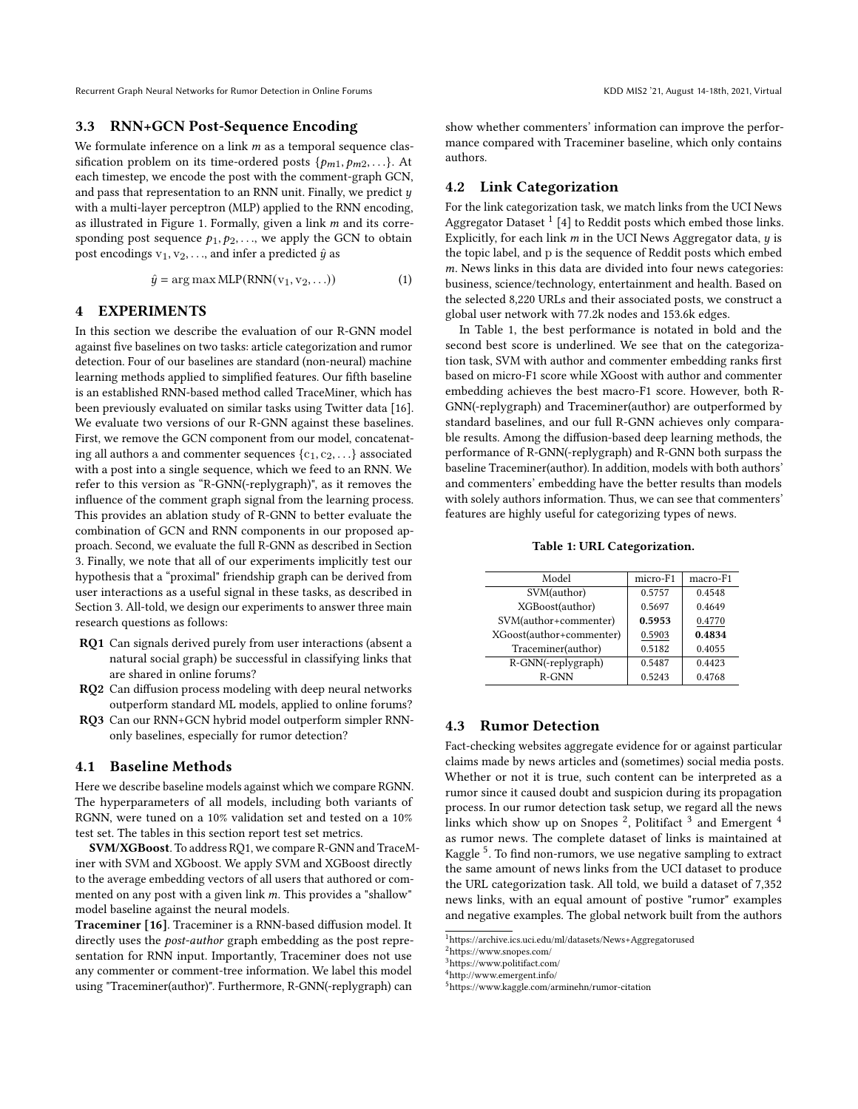Recurrent Graph Neural Networks for Rumor Detection in Online Forums Manusculine States and Miscurrent Graph Neural Networks for Rumor Detection in Online Forums Manusculine States August 14-18th, 2021, Virtual

# 3.3 RNN+GCN Post-Sequence Encoding

We formulate inference on a link  $m$  as a temporal sequence classification problem on its time-ordered posts  $\{p_{m1}, p_{m2}, \ldots\}$ . At each timestep, we encode the post with the comment-graph GCN, and pass that representation to an RNN unit. Finally, we predict  $y$ with a multi-layer perceptron (MLP) applied to the RNN encoding, as illustrated in Figure 1. Formally, given a link  $m$  and its corresponding post sequence  $p_1, p_2, \ldots$ , we apply the GCN to obtain post encodings  $v_1, v_2, \ldots$ , and infer a predicted  $\hat{y}$  as

$$
\hat{y} = \arg \max \text{MLP}(\text{RNN}(\mathbf{v}_1, \mathbf{v}_2, \ldots))
$$
\n(1)

# <span id="page-2-0"></span>4 EXPERIMENTS

In this section we describe the evaluation of our R-GNN model against five baselines on two tasks: article categorization and rumor detection. Four of our baselines are standard (non-neural) machine learning methods applied to simplified features. Our fifth baseline is an established RNN-based method called TraceMiner, which has been previously evaluated on similar tasks using Twitter data [\[16\]](#page-3-6). We evaluate two versions of our R-GNN against these baselines. First, we remove the GCN component from our model, concatenating all authors a and commenter sequences  $\{c_1, c_2, \ldots\}$  associated with a post into a single sequence, which we feed to an RNN. We refer to this version as "R-GNN(-replygraph)", as it removes the influence of the comment graph signal from the learning process. This provides an ablation study of R-GNN to better evaluate the combination of GCN and RNN components in our proposed approach. Second, we evaluate the full R-GNN as described in Section 3. Finally, we note that all of our experiments implicitly test our hypothesis that a "proximal" friendship graph can be derived from user interactions as a useful signal in these tasks, as described in Section 3. All-told, we design our experiments to answer three main research questions as follows:

- RQ1 Can signals derived purely from user interactions (absent a natural social graph) be successful in classifying links that are shared in online forums?
- RQ2 Can diffusion process modeling with deep neural networks outperform standard ML models, applied to online forums?
- RQ3 Can our RNN+GCN hybrid model outperform simpler RNNonly baselines, especially for rumor detection?

## 4.1 Baseline Methods

Here we describe baseline models against which we compare RGNN. The hyperparameters of all models, including both variants of RGNN, were tuned on a 10% validation set and tested on a 10% test set. The tables in this section report test set metrics.

SVM/XGBoost. To address RQ1, we compare R-GNN and TraceMiner with SVM and XGboost. We apply SVM and XGBoost directly to the average embedding vectors of all users that authored or commented on any post with a given link  $m$ . This provides a "shallow" model baseline against the neural models.

Traceminer [\[16\]](#page-3-6). Traceminer is a RNN-based diffusion model. It directly uses the post-author graph embedding as the post representation for RNN input. Importantly, Traceminer does not use any commenter or comment-tree information. We label this model using "Traceminer(author)". Furthermore, R-GNN(-replygraph) can

show whether commenters' information can improve the performance compared with Traceminer baseline, which only contains authors.

## 4.2 Link Categorization

For the link categorization task, we match links from the UCI News Aggregator Dataset  $<sup>1</sup>$  $<sup>1</sup>$  $<sup>1</sup>$  [\[4\]](#page-3-17) to Reddit posts which embed those links.</sup> Explicitly, for each link  $m$  in the UCI News Aggregator data,  $y$  is the topic label, and p is the sequence of Reddit posts which embed  $m$ . News links in this data are divided into four news categories: business, science/technology, entertainment and health. Based on the selected 8,220 URLs and their associated posts, we construct a global user network with 77.2k nodes and 153.6k edges.

In Table [1,](#page-2-2) the best performance is notated in bold and the second best score is underlined. We see that on the categorization task, SVM with author and commenter embedding ranks first based on micro-F1 score while XGoost with author and commenter embedding achieves the best macro-F1 score. However, both R-GNN(-replygraph) and Traceminer(author) are outperformed by standard baselines, and our full R-GNN achieves only comparable results. Among the diffusion-based deep learning methods, the performance of R-GNN(-replygraph) and R-GNN both surpass the baseline Traceminer(author). In addition, models with both authors' and commenters' embedding have the better results than models with solely authors information. Thus, we can see that commenters' features are highly useful for categorizing types of news.

Table 1: URL Categorization.

<span id="page-2-2"></span>

| Model                    | micro-F1 | macro-F1 |
|--------------------------|----------|----------|
| SVM(author)              | 0.5757   | 0.4548   |
| XGBoost(author)          | 0.5697   | 0.4649   |
| SVM(author+commenter)    | 0.5953   | 0.4770   |
| XGoost(author+commenter) | 0.5903   | 0.4834   |
| Traceminer(author)       | 0.5182   | 0.4055   |
| R-GNN(-replygraph)       | 0.5487   | 0.4423   |
| R-GNN                    | 0.5243   | 0.4768   |

# 4.3 Rumor Detection

Fact-checking websites aggregate evidence for or against particular claims made by news articles and (sometimes) social media posts. Whether or not it is true, such content can be interpreted as a rumor since it caused doubt and suspicion during its propagation process. In our rumor detection task setup, we regard all the news links which show up on Snopes  $^2$  $^2$ , Politifact  $^3$  $^3$  and Emergent  $^4$  $^4$ as rumor news. The complete dataset of links is maintained at Kaggle <sup>[5](#page-2-6)</sup>. To find non-rumors, we use negative sampling to extract the same amount of news links from the UCI dataset to produce the URL categorization task. All told, we build a dataset of 7,352 news links, with an equal amount of postive "rumor" examples and negative examples. The global network built from the authors

<span id="page-2-1"></span><sup>1</sup>https://archive.ics.uci.edu/ml/datasets/News+Aggregatorused

<span id="page-2-3"></span><sup>2</sup>https://www.snopes.com/

<span id="page-2-4"></span><sup>3</sup>https://www.politifact.com/

<span id="page-2-5"></span><sup>4</sup>http://www.emergent.info/

<span id="page-2-6"></span><sup>5</sup>https://www.kaggle.com/arminehn/rumor-citation